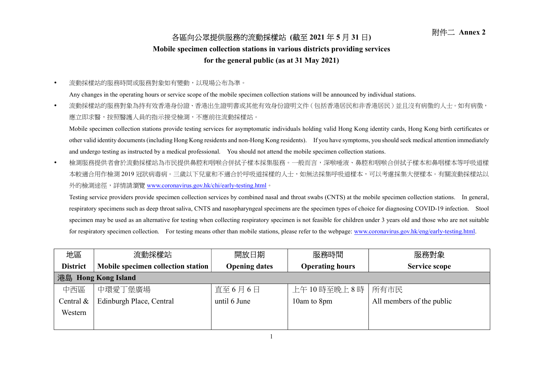## 各區向公眾提供服務的流動採樣站 (截至 2021 年 5 月 31 日) 附件二 Annex 2

## Mobile specimen collection stations in various districts providing services

## for the general public (as at 31 May 2021)

流動採樣站的服務時間或服務對象如有變動,以現場公布為準。

Any changes in the operating hours or service scope of the mobile specimen collection stations will be announced by individual stations.

• 流動採樣站的服務對象為持有效香港身份證、香港出生證明書或其他有效身份證明文件(包括香港居民和非香港居民)並且沒有病徵的人士。如有病徵, 應立即求醫,按照醫護人員的指示接受檢測,不應前往流動採樣站。

Mobile specimen collection stations provide testing services for asymptomatic individuals holding valid Hong Kong identity cards, Hong Kong birth certificates or other valid identity documents (including Hong Kong residents and non-Hong Kong residents). If you have symptoms, you should seek medical attention immediately and undergo testing as instructed by a medical professional. You should not attend the mobile specimen collection stations.

 檢測服務提供者會於流動採樣站為市民提供鼻腔和咽喉合併拭子樣本採集服務。一般而言,深喉唾液、鼻腔和咽喉合併拭子樣本和鼻咽樣本等呼吸道樣 本較適合用作檢測 2019 冠狀病毒病。三歲以下兒童和不適合於呼吸道採樣的人士,如無法採集呼吸道樣本,可以考慮採集大便樣本。有關流動採樣站以 外的檢測途徑,詳情請瀏覽 www.coronavirus.gov.hk/chi/early-testing.html。

Testing service providers provide specimen collection services by combined nasal and throat swabs (CNTS) at the mobile specimen collection stations. In general, respiratory specimens such as deep throat saliva, CNTS and nasopharyngeal specimens are the specimen types of choice for diagnosing COVID-19 infection. Stool specimen may be used as an alternative for testing when collecting respiratory specimen is not feasible for children under 3 years old and those who are not suitable for respiratory specimen collection. For testing means other than mobile stations, please refer to the webpage: www.coronavirus.gov.hk/eng/early-testing.html.

| 地區                            | 流動採樣站                              | 開放日期                 | 服務時間                   | 服務對象                      |  |
|-------------------------------|------------------------------------|----------------------|------------------------|---------------------------|--|
| <b>District</b>               | Mobile specimen collection station | <b>Opening dates</b> | <b>Operating hours</b> | <b>Service scope</b>      |  |
| 港島<br><b>Hong Kong Island</b> |                                    |                      |                        |                           |  |
| 中西區                           | 中環愛丁堡廣場                            | 直至6月6日               | 上午10時至晚上8時             | 所有市民                      |  |
| Central &                     | Edinburgh Place, Central           | until 6 June         | 10am to 8pm            | All members of the public |  |
| Western                       |                                    |                      |                        |                           |  |
|                               |                                    |                      |                        |                           |  |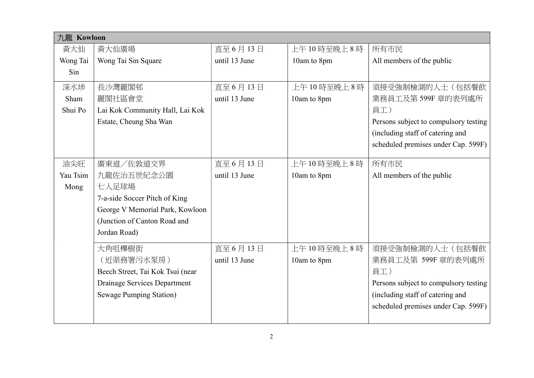| 九龍 Kowloon |                                  |               |             |                                       |
|------------|----------------------------------|---------------|-------------|---------------------------------------|
| 黃大仙        | 黃大仙廣場                            | 直至 6月13日      | 上午10時至晚上8時  | 所有市民                                  |
| Wong Tai   | Wong Tai Sin Square              | until 13 June | 10am to 8pm | All members of the public             |
| Sin        |                                  |               |             |                                       |
| 深水埗        | 長沙灣麗閣邨                           | 直至 6月13日      | 上午10時至晚上8時  | 須接受強制檢測的人士(包括餐飲                       |
| Sham       | 麗閣社區會堂                           | until 13 June | 10am to 8pm | 業務員工及第599F 章的表列處所                     |
| Shui Po    | Lai Kok Community Hall, Lai Kok  |               |             | 員工)                                   |
|            | Estate, Cheung Sha Wan           |               |             | Persons subject to compulsory testing |
|            |                                  |               |             | (including staff of catering and      |
|            |                                  |               |             | scheduled premises under Cap. 599F)   |
|            |                                  |               |             |                                       |
| 油尖旺        | 廣東道/佐敦道交界                        | 直至 6月13日      | 上午10時至晚上8時  | 所有市民                                  |
| Yau Tsim   | 九龍佐治五世紀念公園                       | until 13 June | 10am to 8pm | All members of the public             |
| Mong       | 七人足球場                            |               |             |                                       |
|            | 7-a-side Soccer Pitch of King    |               |             |                                       |
|            | George V Memorial Park, Kowloon  |               |             |                                       |
|            | (Junction of Canton Road and     |               |             |                                       |
|            | Jordan Road)                     |               |             |                                       |
|            | 大角咀櫸樹街                           | 直至 6月13日      | 上午10時至晚上8時  | 須接受強制檢測的人士(包括餐飲                       |
|            | (近渠務署污水泵房)                       | until 13 June | 10am to 8pm | 業務員工及第 599F 章的表列處所                    |
|            | Beech Street, Tai Kok Tsui (near |               |             | 員工)                                   |
|            | Drainage Services Department     |               |             | Persons subject to compulsory testing |
|            | <b>Sewage Pumping Station)</b>   |               |             | (including staff of catering and      |
|            |                                  |               |             | scheduled premises under Cap. 599F)   |
|            |                                  |               |             |                                       |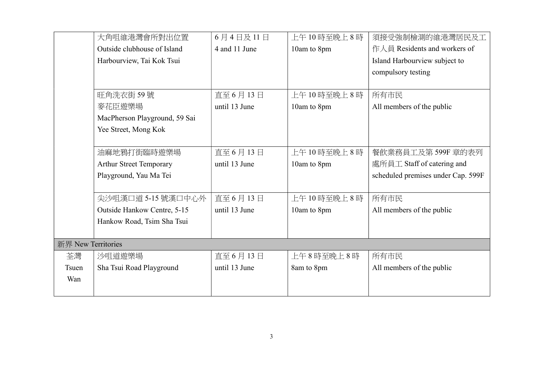|                    | 大角咀維港灣會所對出位置                   | 6月4日及11日      | 上午10時至晚上8時  | 須接受強制檢測的維港灣居民及工                    |
|--------------------|--------------------------------|---------------|-------------|------------------------------------|
|                    | Outside clubhouse of Island    | 4 and 11 June | 10am to 8pm | 作人員 Residents and workers of       |
|                    | Harbourview, Tai Kok Tsui      |               |             | Island Harbourview subject to      |
|                    |                                |               |             | compulsory testing                 |
|                    |                                |               |             |                                    |
|                    | 旺角洗衣街59號                       | 直至 6月13日      | 上午10時至晚上8時  | 所有市民                               |
|                    | 麥花臣遊樂場                         | until 13 June | 10am to 8pm | All members of the public          |
|                    | MacPherson Playground, 59 Sai  |               |             |                                    |
|                    | Yee Street, Mong Kok           |               |             |                                    |
|                    |                                |               |             |                                    |
|                    | 油麻地鴉打街臨時遊樂場                    | 直至 6月13日      | 上午10時至晚上8時  | 餐飲業務員工及第599F 章的表列                  |
|                    | <b>Arthur Street Temporary</b> | until 13 June | 10am to 8pm | 處所員工 Staff of catering and         |
|                    | Playground, Yau Ma Tei         |               |             | scheduled premises under Cap. 599F |
|                    |                                |               |             |                                    |
|                    | 尖沙咀漢口道 5-15 號漢口中心外             | 直至 6月13日      | 上午10時至晚上8時  | 所有市民                               |
|                    | Outside Hankow Centre, 5-15    | until 13 June | 10am to 8pm | All members of the public          |
|                    | Hankow Road, Tsim Sha Tsui     |               |             |                                    |
|                    |                                |               |             |                                    |
| 新界 New Territories |                                |               |             |                                    |
| 荃灣                 | 沙咀道遊樂場                         | 直至 6月13日      | 上午8時至晚上8時   | 所有市民                               |
| <b>Tsuen</b>       | Sha Tsui Road Playground       | until 13 June | 8am to 8pm  | All members of the public          |
| Wan                |                                |               |             |                                    |
|                    |                                |               |             |                                    |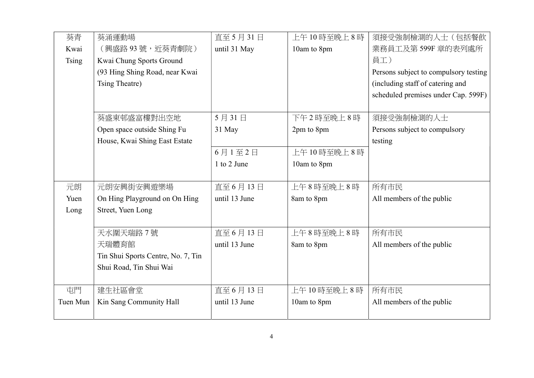| 葵青           | 葵涌運動場                              | 直至 5月 31日     | 上午10時至晚上8時  | 須接受強制檢測的人士(包括餐飲                       |
|--------------|------------------------------------|---------------|-------------|---------------------------------------|
| Kwai         | (興盛路93號,近葵青劇院)                     | until 31 May  | 10am to 8pm | 業務員工及第599F 章的表列處所                     |
| <b>Tsing</b> | Kwai Chung Sports Ground           |               |             | 員工)                                   |
|              | (93 Hing Shing Road, near Kwai     |               |             | Persons subject to compulsory testing |
|              | Tsing Theatre)                     |               |             | (including staff of catering and      |
|              |                                    |               |             | scheduled premises under Cap. 599F)   |
|              |                                    |               |             |                                       |
|              | 葵盛東邨盛富樓對出空地                        | 5月31日         | 下午2時至晚上8時   | 須接受強制檢測的人士                            |
|              | Open space outside Shing Fu        | 31 May        | 2pm to 8pm  | Persons subject to compulsory         |
|              | House, Kwai Shing East Estate      |               |             | testing                               |
|              |                                    | 6月1至2日        | 上午10時至晚上8時  |                                       |
|              |                                    | 1 to 2 June   | 10am to 8pm |                                       |
|              |                                    |               |             |                                       |
| 元朗           | 元朗安興街安興遊樂場                         | 直至 6月13日      | 上午8時至晚上8時   | 所有市民                                  |
| Yuen         | On Hing Playground on On Hing      | until 13 June | 8am to 8pm  | All members of the public             |
| Long         | Street, Yuen Long                  |               |             |                                       |
|              |                                    |               |             |                                       |
|              | 天水圍天瑞路 7號                          | 直至 6月13日      | 上午8時至晚上8時   | 所有市民                                  |
|              | 天瑞體育館                              | until 13 June | 8am to 8pm  | All members of the public             |
|              | Tin Shui Sports Centre, No. 7, Tin |               |             |                                       |
|              | Shui Road, Tin Shui Wai            |               |             |                                       |
|              |                                    |               |             |                                       |
| 屯門           | 建生社區會堂                             | 直至 6月13日      | 上午10時至晚上8時  | 所有市民                                  |
| Tuen Mun     | Kin Sang Community Hall            | until 13 June | 10am to 8pm | All members of the public             |
|              |                                    |               |             |                                       |